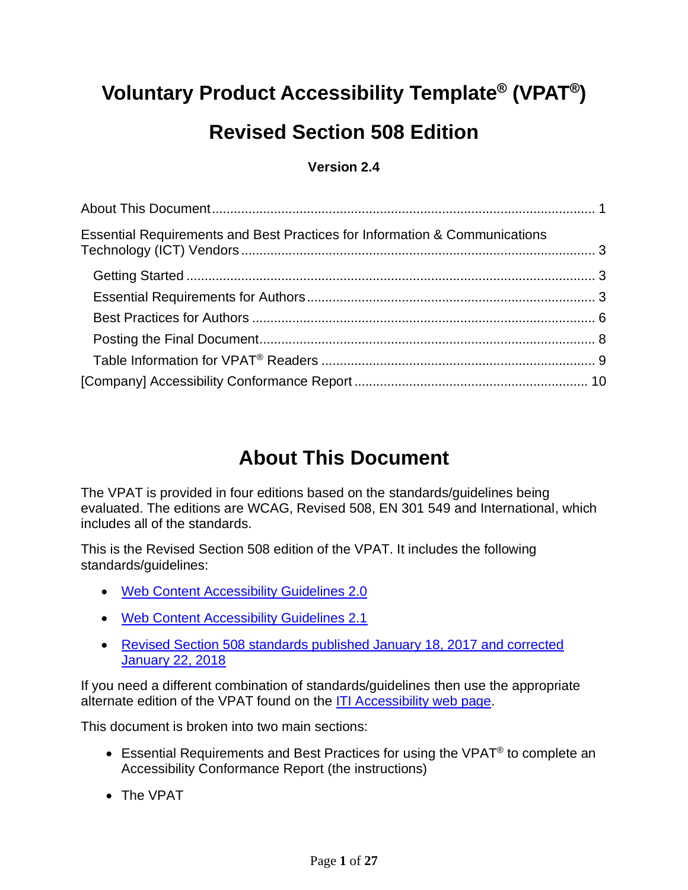## **Voluntary Product Accessibility Template® (VPAT® )**

## **Revised Section 508 Edition**

#### **Version 2.4**

| Essential Requirements and Best Practices for Information & Communications |  |
|----------------------------------------------------------------------------|--|
|                                                                            |  |
|                                                                            |  |
|                                                                            |  |
|                                                                            |  |
|                                                                            |  |
|                                                                            |  |

### **About This Document**

<span id="page-0-0"></span>The VPAT is provided in four editions based on the standards/guidelines being evaluated. The editions are WCAG, Revised 508, EN 301 549 and International, which includes all of the standards.

This is the Revised Section 508 edition of the VPAT. It includes the following standards/guidelines:

- [Web Content Accessibility Guidelines 2.0](http://www.w3.org/TR/2008/REC-WCAG20-20081211)
- [Web Content Accessibility Guidelines 2.1](https://www.w3.org/TR/WCAG21)
- [Revised Section 508 standards published January 18, 2017 and corrected](https://www.access-board.gov/guidelines-and-standards/communications-and-it/about-the-ict-refresh/final-rule/text-of-the-standards-and-guidelines)  [January 22, 2018](https://www.access-board.gov/guidelines-and-standards/communications-and-it/about-the-ict-refresh/final-rule/text-of-the-standards-and-guidelines)

If you need a different combination of standards/guidelines then use the appropriate alternate edition of the VPAT found on the [ITI Accessibility web page.](https://www.itic.org/policy/accessibility/vpat)

This document is broken into two main sections:

- Essential Requirements and Best Practices for using the VPAT<sup>®</sup> to complete an Accessibility Conformance Report (the instructions)
- The VPAT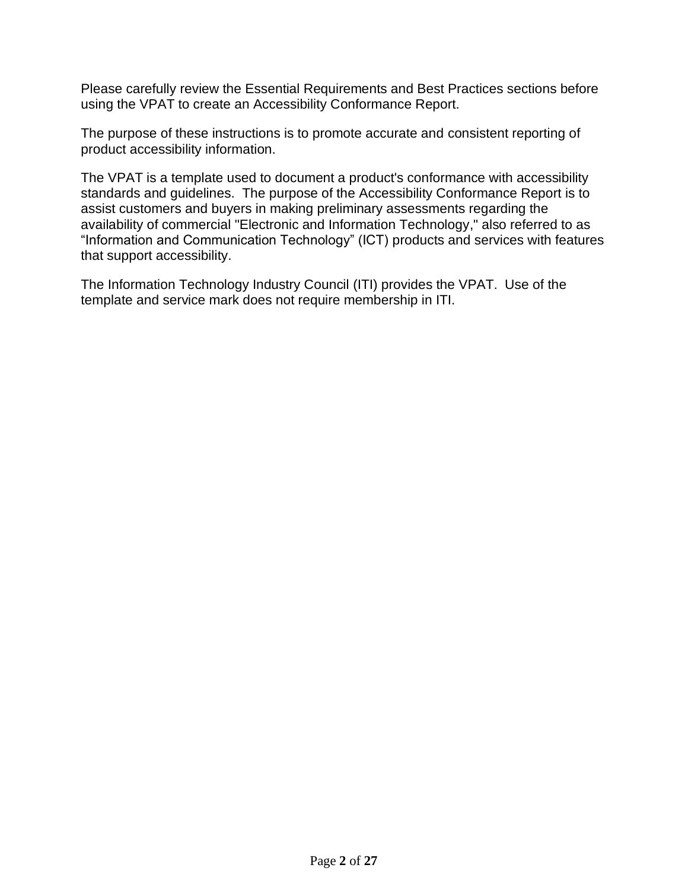Please carefully review the Essential Requirements and Best Practices sections before using the VPAT to create an Accessibility Conformance Report.

The purpose of these instructions is to promote accurate and consistent reporting of product accessibility information.

The VPAT is a template used to document a product's conformance with accessibility standards and guidelines. The purpose of the Accessibility Conformance Report is to assist customers and buyers in making preliminary assessments regarding the availability of commercial "Electronic and Information Technology," also referred to as "Information and Communication Technology" (ICT) products and services with features that support accessibility.

The Information Technology Industry Council (ITI) provides the VPAT. Use of the template and service mark does not require membership in ITI.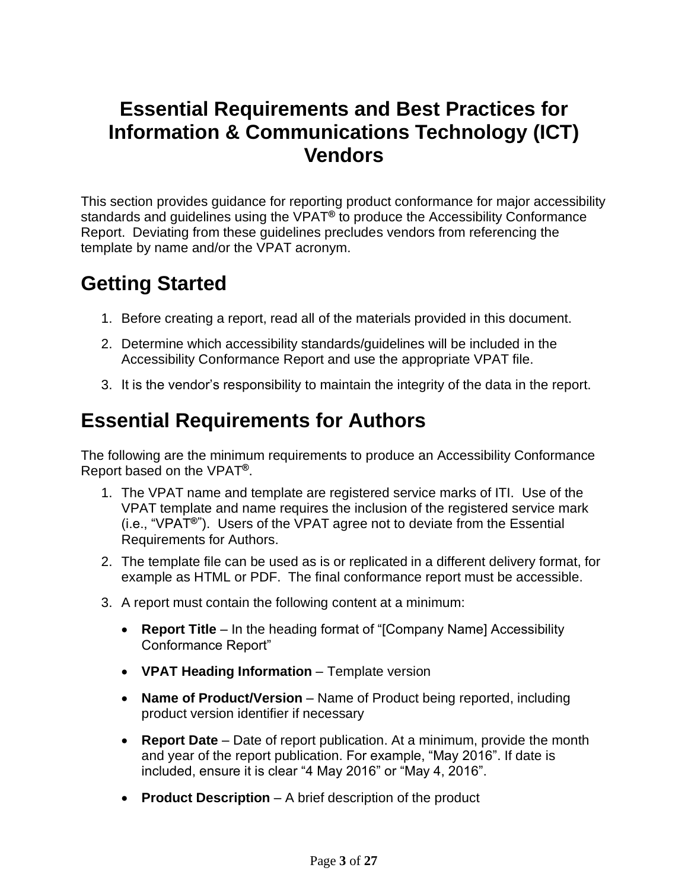#### <span id="page-2-0"></span>**Essential Requirements and Best Practices for Information & Communications Technology (ICT) Vendors**

This section provides guidance for reporting product conformance for major accessibility standards and guidelines using the VPAT**®** to produce the Accessibility Conformance Report. Deviating from these guidelines precludes vendors from referencing the template by name and/or the VPAT acronym.

### <span id="page-2-1"></span>**Getting Started**

- 1. Before creating a report, read all of the materials provided in this document.
- 2. Determine which accessibility standards/guidelines will be included in the Accessibility Conformance Report and use the appropriate VPAT file.
- 3. It is the vendor's responsibility to maintain the integrity of the data in the report.

### <span id="page-2-2"></span>**Essential Requirements for Authors**

The following are the minimum requirements to produce an Accessibility Conformance Report based on the VPAT**®**.

- 1. The VPAT name and template are registered service marks of ITI. Use of the VPAT template and name requires the inclusion of the registered service mark (i.e., "VPAT**®"** ). Users of the VPAT agree not to deviate from the Essential Requirements for Authors.
- 2. The template file can be used as is or replicated in a different delivery format, for example as HTML or PDF. The final conformance report must be accessible.
- 3. A report must contain the following content at a minimum:
	- **Report Title** In the heading format of "[Company Name] Accessibility Conformance Report"
	- **VPAT Heading Information** Template version
	- **Name of Product/Version** Name of Product being reported, including product version identifier if necessary
	- **Report Date** Date of report publication. At a minimum, provide the month and year of the report publication. For example, "May 2016". If date is included, ensure it is clear "4 May 2016" or "May 4, 2016".
	- **Product Description**  A brief description of the product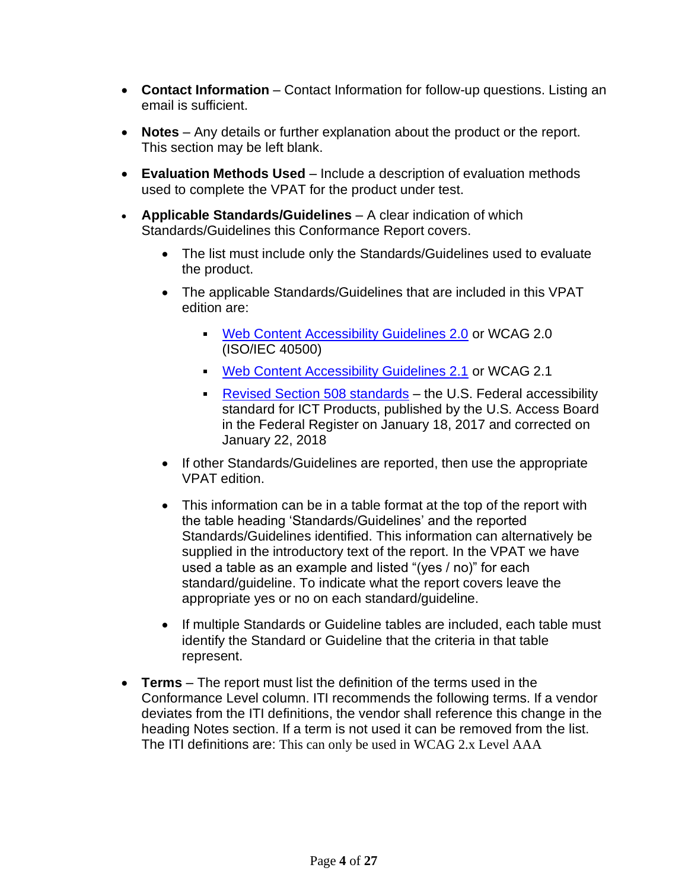- **Contact Information** Contact Information for follow-up questions. Listing an email is sufficient.
- **Notes** Any details or further explanation about the product or the report. This section may be left blank.
- **Evaluation Methods Used** Include a description of evaluation methods used to complete the VPAT for the product under test.
- **Applicable Standards/Guidelines** A clear indication of which Standards/Guidelines this Conformance Report covers.
	- The list must include only the Standards/Guidelines used to evaluate the product.
	- The applicable Standards/Guidelines that are included in this VPAT edition are:
		- [Web Content Accessibility Guidelines 2.0](http://www.w3.org/TR/2008/REC-WCAG20-20081211) or WCAG 2.0 (ISO/IEC 40500)
		- [Web Content Accessibility Guidelines 2.1](https://www.w3.org/TR/WCAG21) or WCAG 2.1
		- [Revised Section 508 standards](https://www.access-board.gov/guidelines-and-standards/communications-and-it/about-the-ict-refresh/final-rule/text-of-the-standards-and-guidelines) the U.S. Federal accessibility standard for ICT Products, published by the U.S. Access Board in the Federal Register on January 18, 2017 and corrected on January 22, 2018
	- If other Standards/Guidelines are reported, then use the appropriate VPAT edition.
	- This information can be in a table format at the top of the report with the table heading 'Standards/Guidelines' and the reported Standards/Guidelines identified. This information can alternatively be supplied in the introductory text of the report. In the VPAT we have used a table as an example and listed "(yes / no)" for each standard/guideline. To indicate what the report covers leave the appropriate yes or no on each standard/guideline.
	- If multiple Standards or Guideline tables are included, each table must identify the Standard or Guideline that the criteria in that table represent.
- **Terms**  The report must list the definition of the terms used in the Conformance Level column. ITI recommends the following terms. If a vendor deviates from the ITI definitions, the vendor shall reference this change in the heading Notes section. If a term is not used it can be removed from the list. The ITI definitions are: This can only be used in WCAG 2.x Level AAA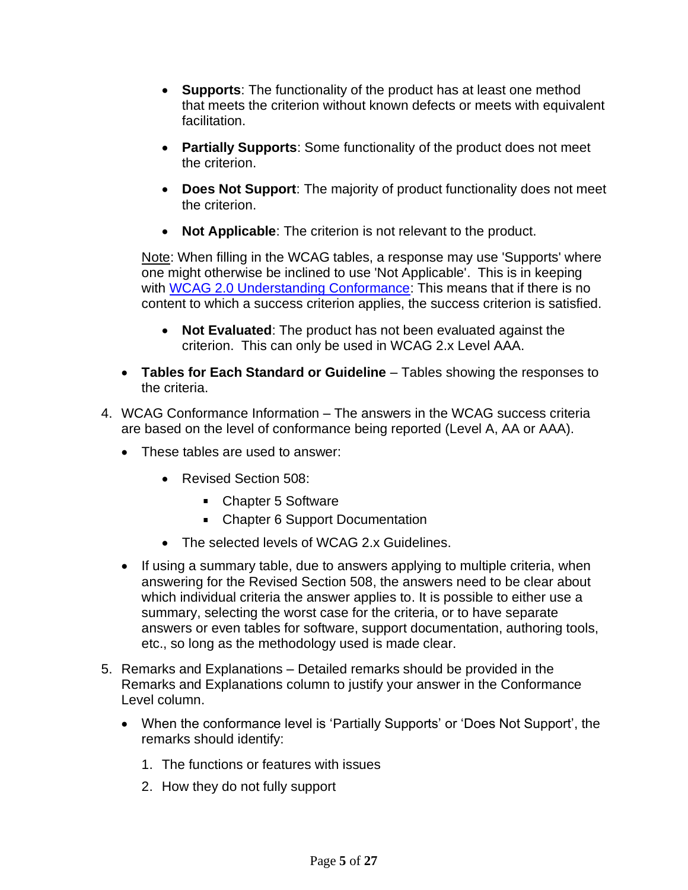- **Supports**: The functionality of the product has at least one method that meets the criterion without known defects or meets with equivalent facilitation.
- **Partially Supports**: Some functionality of the product does not meet the criterion.
- **Does Not Support**: The majority of product functionality does not meet the criterion.
- **Not Applicable**: The criterion is not relevant to the product.

Note: When filling in the WCAG tables, a response may use 'Supports' where one might otherwise be inclined to use 'Not Applicable'. This is in keeping with [WCAG 2.0 Understanding Conformance:](https://www.w3.org/TR/UNDERSTANDING-WCAG20/conformance.html) This means that if there is no content to which a success criterion applies, the success criterion is satisfied.

- **Not Evaluated**: The product has not been evaluated against the criterion. This can only be used in WCAG 2.x Level AAA.
- **Tables for Each Standard or Guideline** Tables showing the responses to the criteria.
- 4. WCAG Conformance Information The answers in the WCAG success criteria are based on the level of conformance being reported (Level A, AA or AAA).
	- These tables are used to answer:
		- Revised Section 508:
			- Chapter 5 Software
			- Chapter 6 Support Documentation
		- The selected levels of WCAG 2.x Guidelines.
	- If using a summary table, due to answers applying to multiple criteria, when answering for the Revised Section 508, the answers need to be clear about which individual criteria the answer applies to. It is possible to either use a summary, selecting the worst case for the criteria, or to have separate answers or even tables for software, support documentation, authoring tools, etc., so long as the methodology used is made clear.
- 5. Remarks and Explanations Detailed remarks should be provided in the Remarks and Explanations column to justify your answer in the Conformance Level column.
	- When the conformance level is 'Partially Supports' or 'Does Not Support', the remarks should identify:
		- 1. The functions or features with issues
		- 2. How they do not fully support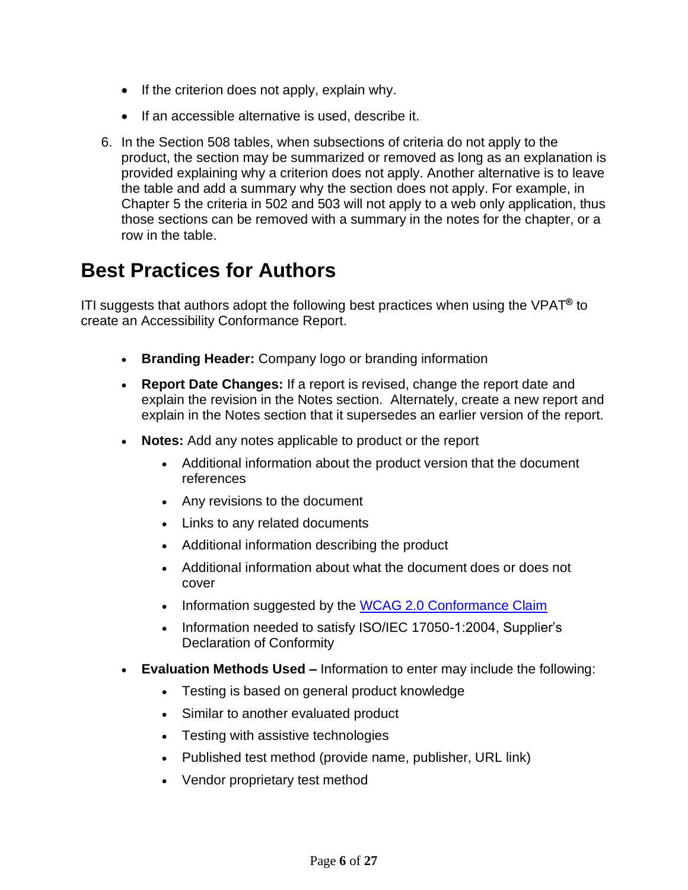- If the criterion does not apply, explain why.
- If an accessible alternative is used, describe it.
- 6. In the Section 508 tables, when subsections of criteria do not apply to the product, the section may be summarized or removed as long as an explanation is provided explaining why a criterion does not apply. Another alternative is to leave the table and add a summary why the section does not apply. For example, in Chapter 5 the criteria in 502 and 503 will not apply to a web only application, thus those sections can be removed with a summary in the notes for the chapter, or a row in the table.

#### <span id="page-5-0"></span>**Best Practices for Authors**

ITI suggests that authors adopt the following best practices when using the VPAT**®** to create an Accessibility Conformance Report.

- **Branding Header:** Company logo or branding information
- **Report Date Changes:** If a report is revised, change the report date and explain the revision in the Notes section. Alternately, create a new report and explain in the Notes section that it supersedes an earlier version of the report.
- **Notes:** Add any notes applicable to product or the report
	- Additional information about the product version that the document references
	- Any revisions to the document
	- Links to any related documents
	- Additional information describing the product
	- Additional information about what the document does or does not cover
	- Information suggested by the [WCAG 2.0 Conformance Claim](http://www.w3.org/TR/WCAG20/#conformance-claims)
	- Information needed to satisfy ISO/IEC 17050-1:2004, Supplier's Declaration of Conformity
- **Evaluation Methods Used –** Information to enter may include the following:
	- Testing is based on general product knowledge
	- Similar to another evaluated product
	- Testing with assistive technologies
	- Published test method (provide name, publisher, URL link)
	- Vendor proprietary test method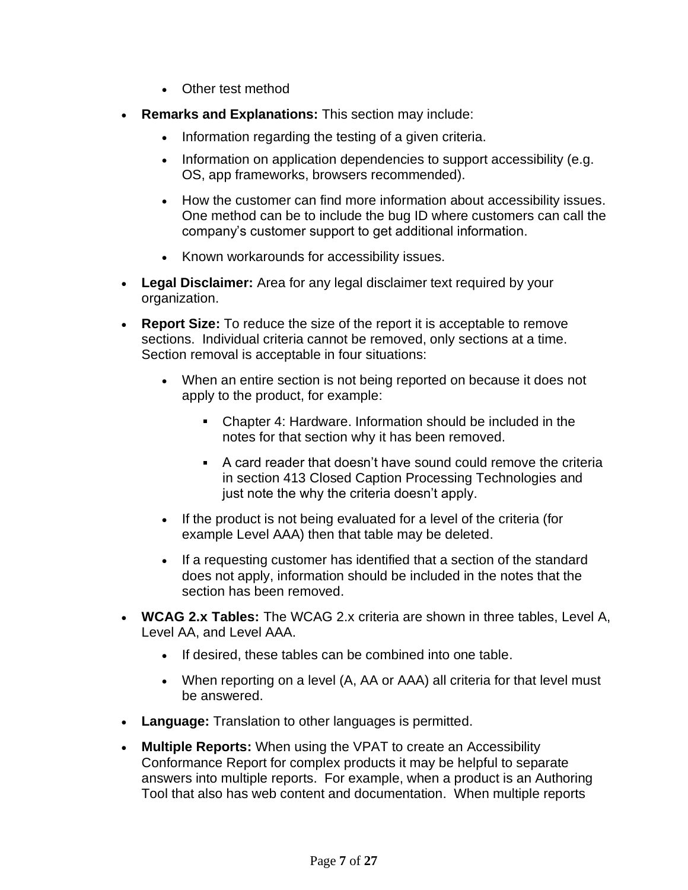- Other test method
- **Remarks and Explanations:** This section may include:
	- Information regarding the testing of a given criteria.
	- Information on application dependencies to support accessibility (e.g. OS, app frameworks, browsers recommended).
	- How the customer can find more information about accessibility issues. One method can be to include the bug ID where customers can call the company's customer support to get additional information.
	- Known workarounds for accessibility issues.
- **Legal Disclaimer:** Area for any legal disclaimer text required by your organization.
- **Report Size:** To reduce the size of the report it is acceptable to remove sections. Individual criteria cannot be removed, only sections at a time. Section removal is acceptable in four situations:
	- When an entire section is not being reported on because it does not apply to the product, for example:
		- Chapter 4: Hardware. Information should be included in the notes for that section why it has been removed.
		- A card reader that doesn't have sound could remove the criteria in section 413 Closed Caption Processing Technologies and just note the why the criteria doesn't apply.
	- If the product is not being evaluated for a level of the criteria (for example Level AAA) then that table may be deleted.
	- If a requesting customer has identified that a section of the standard does not apply, information should be included in the notes that the section has been removed.
- **WCAG 2.x Tables:** The WCAG 2.x criteria are shown in three tables, Level A, Level AA, and Level AAA.
	- If desired, these tables can be combined into one table.
	- When reporting on a level (A, AA or AAA) all criteria for that level must be answered.
- **Language:** Translation to other languages is permitted.
- **Multiple Reports:** When using the VPAT to create an Accessibility Conformance Report for complex products it may be helpful to separate answers into multiple reports. For example, when a product is an Authoring Tool that also has web content and documentation. When multiple reports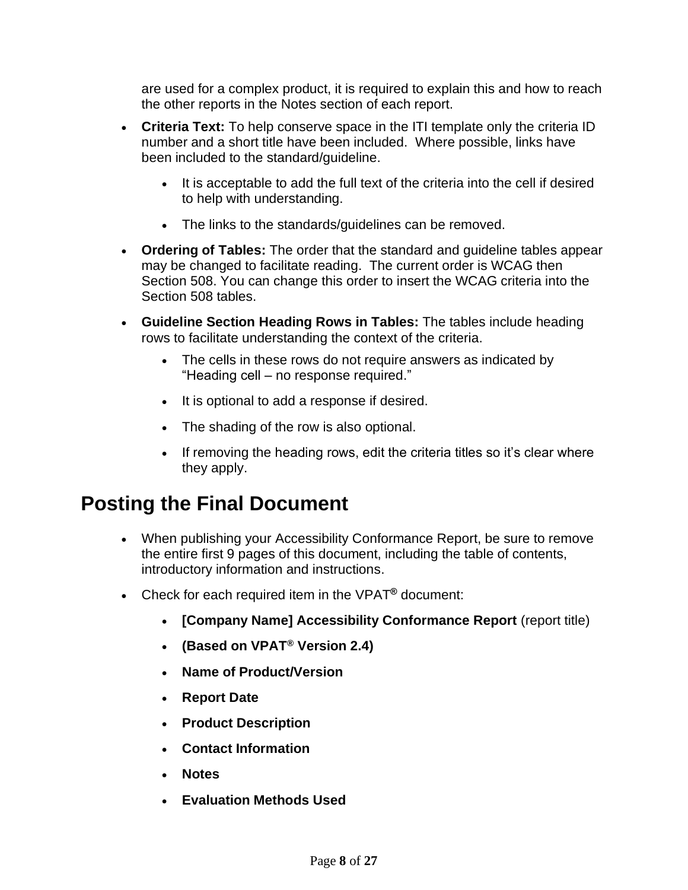are used for a complex product, it is required to explain this and how to reach the other reports in the Notes section of each report.

- **Criteria Text:** To help conserve space in the ITI template only the criteria ID number and a short title have been included. Where possible, links have been included to the standard/guideline.
	- It is acceptable to add the full text of the criteria into the cell if desired to help with understanding.
	- The links to the standards/guidelines can be removed.
- **Ordering of Tables:** The order that the standard and guideline tables appear may be changed to facilitate reading. The current order is WCAG then Section 508. You can change this order to insert the WCAG criteria into the Section 508 tables.
- **Guideline Section Heading Rows in Tables:** The tables include heading rows to facilitate understanding the context of the criteria.
	- The cells in these rows do not require answers as indicated by "Heading cell – no response required."
	- It is optional to add a response if desired.
	- The shading of the row is also optional.
	- If removing the heading rows, edit the criteria titles so it's clear where they apply.

#### <span id="page-7-0"></span>**Posting the Final Document**

- When publishing your Accessibility Conformance Report, be sure to remove the entire first 9 pages of this document, including the table of contents, introductory information and instructions.
- Check for each required item in the VPAT**®** document:
	- **[Company Name] Accessibility Conformance Report** (report title)
	- **(Based on VPAT® Version 2.4)**
	- **Name of Product/Version**
	- **Report Date**
	- **Product Description**
	- **Contact Information**
	- **Notes**
	- **Evaluation Methods Used**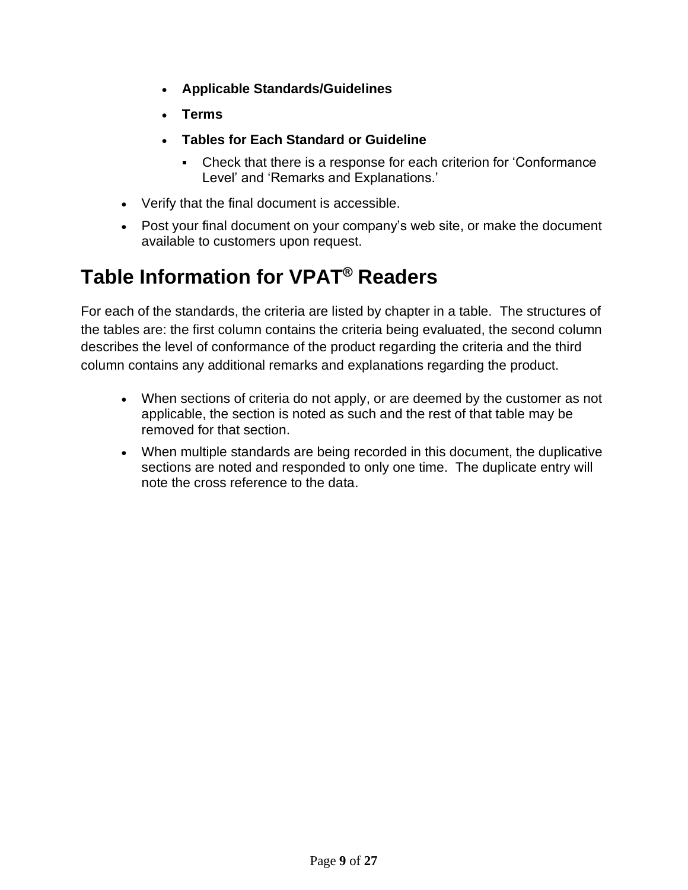- **Applicable Standards/Guidelines**
- **Terms**
- **Tables for Each Standard or Guideline**
	- Check that there is a response for each criterion for 'Conformance  $\mathbf{r}$ Level' and 'Remarks and Explanations.'
- Verify that the final document is accessible.
- Post your final document on your company's web site, or make the document available to customers upon request.

## <span id="page-8-0"></span>**Table Information for VPAT® Readers**

For each of the standards, the criteria are listed by chapter in a table. The structures of the tables are: the first column contains the criteria being evaluated, the second column describes the level of conformance of the product regarding the criteria and the third column contains any additional remarks and explanations regarding the product.

- When sections of criteria do not apply, or are deemed by the customer as not applicable, the section is noted as such and the rest of that table may be removed for that section.
- When multiple standards are being recorded in this document, the duplicative sections are noted and responded to only one time. The duplicate entry will note the cross reference to the data.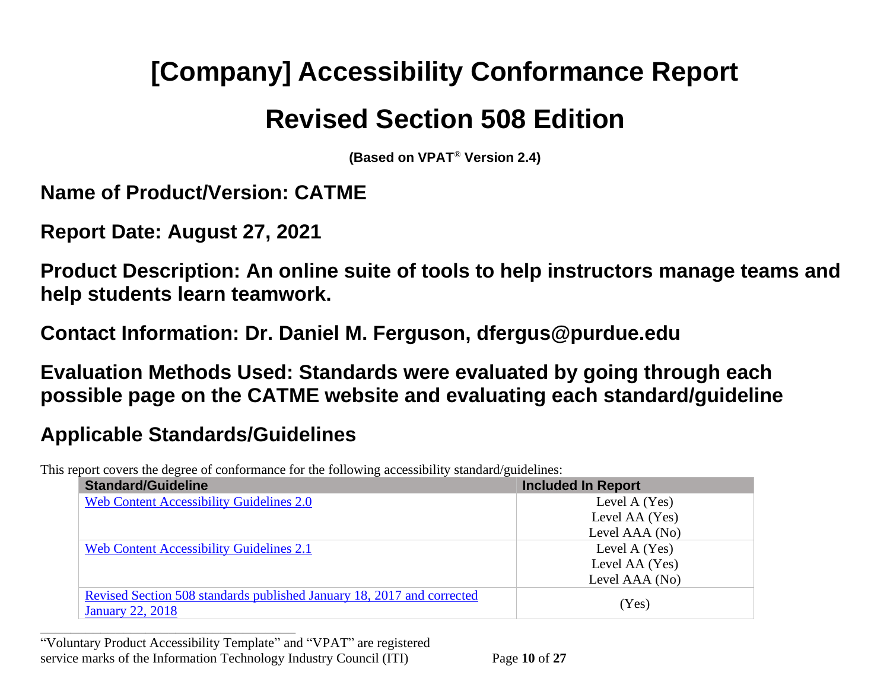# **[Company] Accessibility Conformance Report Revised Section 508 Edition**

**(Based on VPAT**® **Version 2.4)**

**Name of Product/Version: CATME**

**Report Date: August 27, 2021**

<span id="page-9-0"></span>**Product Description: An online suite of tools to help instructors manage teams and help students learn teamwork.**

**Contact Information: Dr. Daniel M. Ferguson, dfergus@purdue.edu**

**Evaluation Methods Used: Standards were evaluated by going through each possible page on the CATME website and evaluating each standard/guideline**

## **Applicable Standards/Guidelines**

**\_\_\_\_\_\_\_\_\_\_\_\_\_\_\_\_\_\_\_\_\_\_\_\_\_\_\_\_\_\_\_\_\_\_**

This report covers the degree of conformance for the following accessibility standard/guidelines:

| <b>Standard/Guideline</b>                                                                         | <b>Included In Report</b> |
|---------------------------------------------------------------------------------------------------|---------------------------|
| <b>Web Content Accessibility Guidelines 2.0</b>                                                   | Level A (Yes)             |
|                                                                                                   | Level AA (Yes)            |
|                                                                                                   | Level AAA (No)            |
| <b>Web Content Accessibility Guidelines 2.1</b>                                                   | Level A (Yes)             |
|                                                                                                   | Level AA (Yes)            |
|                                                                                                   | Level AAA (No)            |
| Revised Section 508 standards published January 18, 2017 and corrected<br><b>January 22, 2018</b> | (Yes)                     |

<sup>&</sup>quot;Voluntary Product Accessibility Template" and "VPAT" are registered service marks of the Information Technology Industry Council (ITI) Page **10** of **27**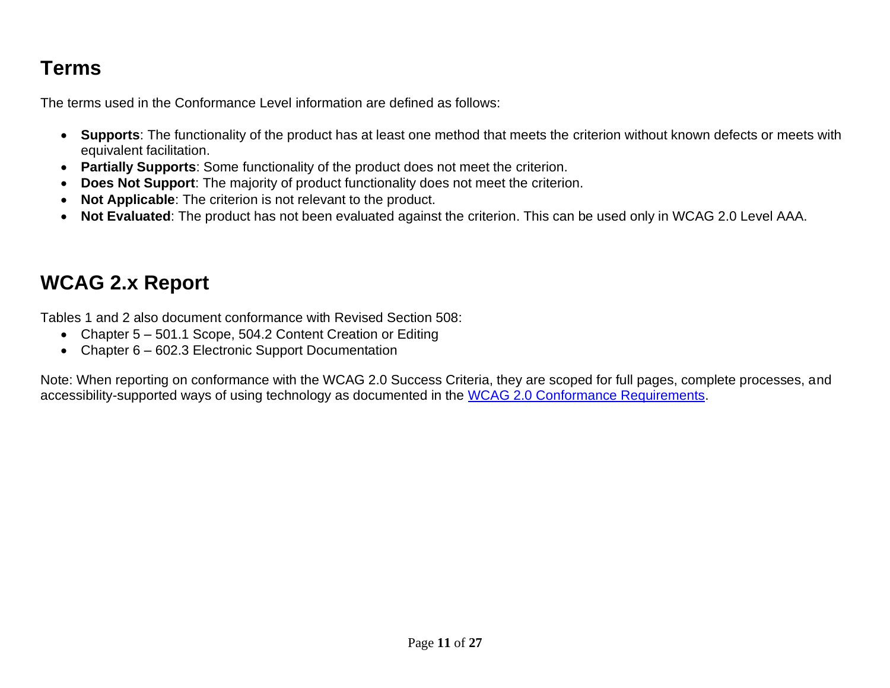## **Terms**

The terms used in the Conformance Level information are defined as follows:

- **Supports**: The functionality of the product has at least one method that meets the criterion without known defects or meets with equivalent facilitation.
- **Partially Supports**: Some functionality of the product does not meet the criterion.
- **Does Not Support**: The majority of product functionality does not meet the criterion.
- **Not Applicable**: The criterion is not relevant to the product.
- **Not Evaluated**: The product has not been evaluated against the criterion. This can be used only in WCAG 2.0 Level AAA.

## **WCAG 2.x Report**

Tables 1 and 2 also document conformance with Revised Section 508:

- Chapter 5 501.1 Scope, 504.2 Content Creation or Editing
- Chapter 6 602.3 Electronic Support Documentation

Note: When reporting on conformance with the WCAG 2.0 Success Criteria, they are scoped for full pages, complete processes, and accessibility-supported ways of using technology as documented in the [WCAG 2.0 Conformance Requirements.](https://www.w3.org/TR/WCAG20/#conformance-reqs)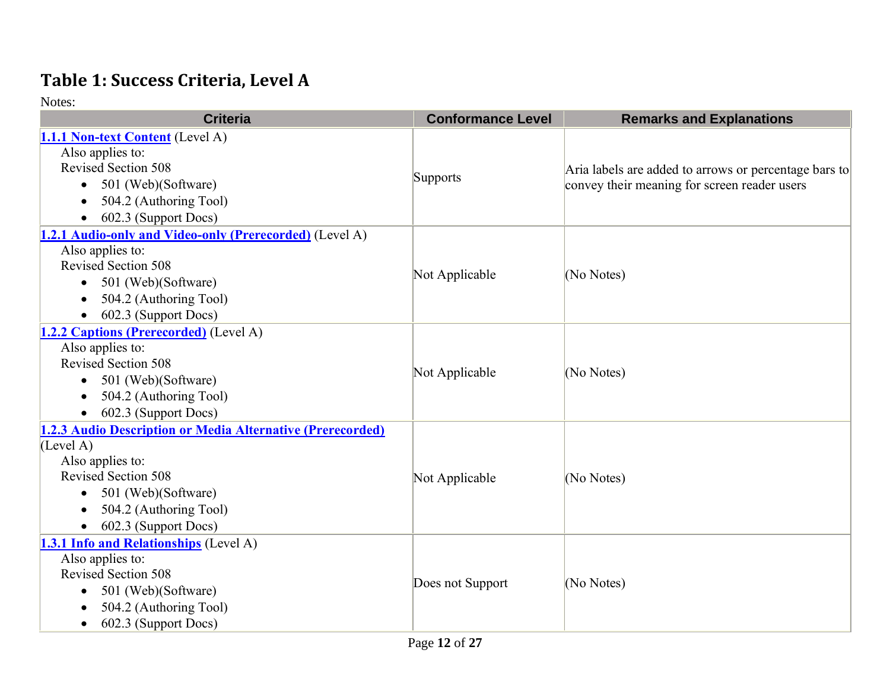#### **Table 1: Success Criteria, Level A**

| <b>Criteria</b>                                                                                                                                                                             | <b>Conformance Level</b> | <b>Remarks and Explanations</b>                                                                       |
|---------------------------------------------------------------------------------------------------------------------------------------------------------------------------------------------|--------------------------|-------------------------------------------------------------------------------------------------------|
| 1.1.1 Non-text Content (Level A)<br>Also applies to:<br><b>Revised Section 508</b><br>501 (Web)(Software)<br>$\bullet$<br>504.2 (Authoring Tool)<br>602.3 (Support Docs)                    | Supports                 | Aria labels are added to arrows or percentage bars to<br>convey their meaning for screen reader users |
| 1.2.1 Audio-only and Video-only (Prerecorded) (Level A)<br>Also applies to:<br><b>Revised Section 508</b><br>• 501 (Web)(Software)<br>504.2 (Authoring Tool)<br>602.3 (Support Docs)        | Not Applicable           | (No Notes)                                                                                            |
| 1.2.2 Captions (Prerecorded) (Level A)<br>Also applies to:<br><b>Revised Section 508</b><br>• 501 (Web)(Software)<br>504.2 (Authoring Tool)<br>602.3 (Support Docs)<br>$\bullet$            | Not Applicable           | (No Notes)                                                                                            |
| 1.2.3 Audio Description or Media Alternative (Prerecorded)<br>(Level A)<br>Also applies to:<br>Revised Section 508<br>501 (Web)(Software)<br>504.2 (Authoring Tool)<br>602.3 (Support Docs) | Not Applicable           | (No Notes)                                                                                            |
| 1.3.1 Info and Relationships (Level A)<br>Also applies to:<br>Revised Section 508<br>501 (Web)(Software)<br>$\bullet$<br>504.2 (Authoring Tool)<br>602.3 (Support Docs)<br>$\bullet$        | Does not Support         | (No Notes)                                                                                            |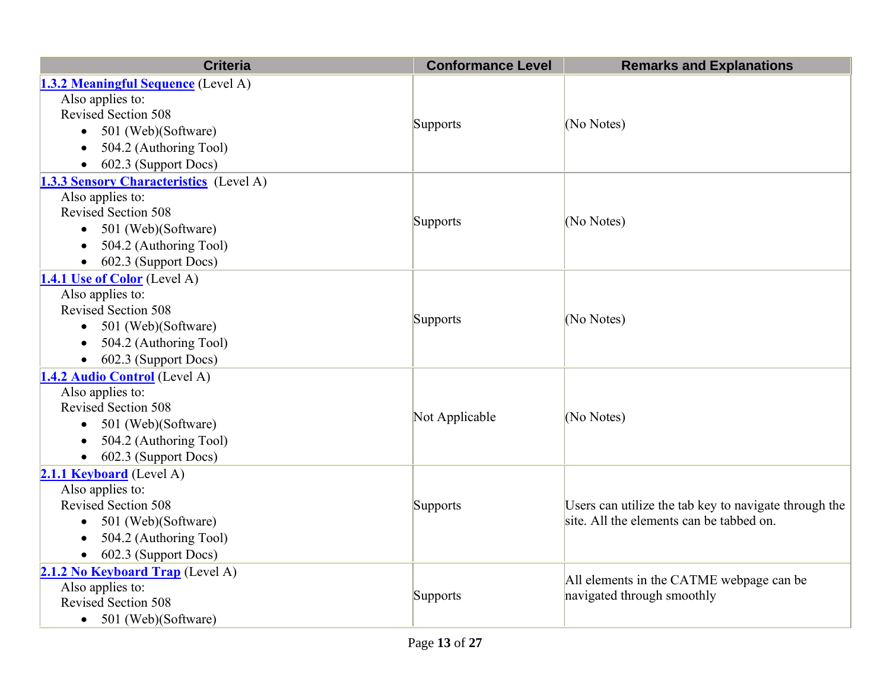| <b>Criteria</b>                                | <b>Conformance Level</b> | <b>Remarks and Explanations</b>                       |
|------------------------------------------------|--------------------------|-------------------------------------------------------|
| <b>1.3.2 Meaningful Sequence</b> (Level A)     |                          |                                                       |
| Also applies to:                               |                          |                                                       |
| <b>Revised Section 508</b>                     |                          | (No Notes)                                            |
| • 501 (Web)(Software)                          | Supports                 |                                                       |
| 504.2 (Authoring Tool)                         |                          |                                                       |
| 602.3 (Support Docs)                           |                          |                                                       |
| <b>1.3.3 Sensory Characteristics</b> (Level A) |                          |                                                       |
| Also applies to:                               |                          |                                                       |
| <b>Revised Section 508</b>                     | <b>Supports</b>          | (No Notes)                                            |
| 501 (Web)(Software)                            |                          |                                                       |
| 504.2 (Authoring Tool)                         |                          |                                                       |
| 602.3 (Support Docs)                           |                          |                                                       |
| 1.4.1 Use of Color (Level A)                   |                          |                                                       |
| Also applies to:                               |                          | (No Notes)                                            |
| <b>Revised Section 508</b>                     | Supports                 |                                                       |
| • 501 (Web)(Software)                          |                          |                                                       |
| 504.2 (Authoring Tool)                         |                          |                                                       |
| 602.3 (Support Docs)                           |                          |                                                       |
| 1.4.2 Audio Control (Level A)                  |                          |                                                       |
| Also applies to:                               |                          |                                                       |
| <b>Revised Section 508</b>                     | Not Applicable           | (No Notes)                                            |
| 501 (Web)(Software)<br>$\bullet$               |                          |                                                       |
| 504.2 (Authoring Tool)                         |                          |                                                       |
| 602.3 (Support Docs)<br>$\bullet$              |                          |                                                       |
| 2.1.1 Keyboard (Level A)                       |                          |                                                       |
| Also applies to:                               |                          |                                                       |
| <b>Revised Section 508</b>                     | Supports                 | Users can utilize the tab key to navigate through the |
| • 501 (Web)(Software)                          |                          | site. All the elements can be tabbed on.              |
| 504.2 (Authoring Tool)                         |                          |                                                       |
| 602.3 (Support Docs)                           |                          |                                                       |
| 2.1.2 No Keyboard Trap (Level A)               |                          | All elements in the CATME webpage can be              |
| Also applies to:                               | Supports                 | navigated through smoothly                            |
| <b>Revised Section 508</b>                     |                          |                                                       |
| • 501 (Web)(Software)                          |                          |                                                       |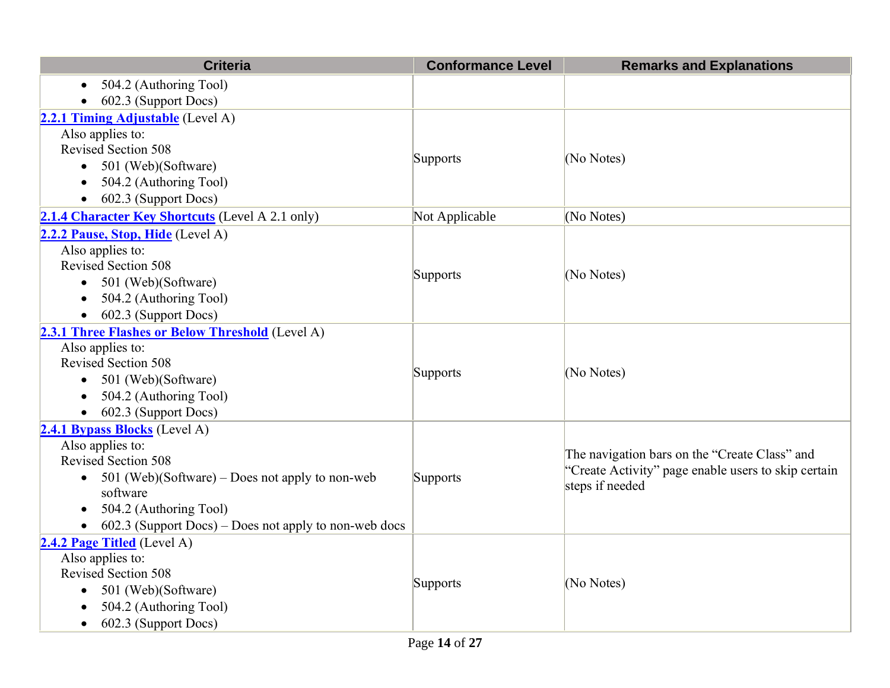| <b>Criteria</b>                                                      | <b>Conformance Level</b> | <b>Remarks and Explanations</b>                     |
|----------------------------------------------------------------------|--------------------------|-----------------------------------------------------|
| 504.2 (Authoring Tool)<br>$\bullet$                                  |                          |                                                     |
| 602.3 (Support Docs)                                                 |                          |                                                     |
| 2.2.1 Timing Adjustable (Level A)                                    |                          |                                                     |
| Also applies to:                                                     |                          |                                                     |
| <b>Revised Section 508</b>                                           |                          | (No Notes)                                          |
| 501 (Web)(Software)                                                  | Supports                 |                                                     |
| 504.2 (Authoring Tool)                                               |                          |                                                     |
| 602.3 (Support Docs)                                                 |                          |                                                     |
| 2.1.4 Character Key Shortcuts (Level A 2.1 only)                     | Not Applicable           | (No Notes)                                          |
| 2.2.2 Pause, Stop, Hide (Level A)                                    |                          |                                                     |
| Also applies to:                                                     |                          |                                                     |
| <b>Revised Section 508</b>                                           |                          | (No Notes)                                          |
| 501 (Web)(Software)<br>$\bullet$                                     | Supports                 |                                                     |
| 504.2 (Authoring Tool)                                               |                          |                                                     |
| 602.3 (Support Docs)                                                 |                          |                                                     |
| 2.3.1 Three Flashes or Below Threshold (Level A)                     |                          |                                                     |
| Also applies to:                                                     |                          | (No Notes)                                          |
| <b>Revised Section 508</b>                                           | Supports                 |                                                     |
| 501 (Web)(Software)<br>$\bullet$                                     |                          |                                                     |
| 504.2 (Authoring Tool)                                               |                          |                                                     |
| 602.3 (Support Docs)<br>$\bullet$                                    |                          |                                                     |
| 2.4.1 Bypass Blocks (Level A)                                        |                          |                                                     |
| Also applies to:                                                     |                          | The navigation bars on the "Create Class" and       |
| Revised Section 508                                                  |                          | "Create Activity" page enable users to skip certain |
| 501 (Web)(Software) – Does not apply to non-web                      | Supports                 | steps if needed                                     |
| software                                                             |                          |                                                     |
| 504.2 (Authoring Tool)                                               |                          |                                                     |
| $602.3$ (Support Docs) – Does not apply to non-web docs<br>$\bullet$ |                          |                                                     |
| 2.4.2 Page Titled (Level A)                                          |                          |                                                     |
| Also applies to:                                                     |                          |                                                     |
| <b>Revised Section 508</b>                                           | Supports                 | (No Notes)                                          |
| 501 (Web)(Software)<br>$\bullet$                                     |                          |                                                     |
| 504.2 (Authoring Tool)                                               |                          |                                                     |
| 602.3 (Support Docs)<br>$\bullet$                                    |                          |                                                     |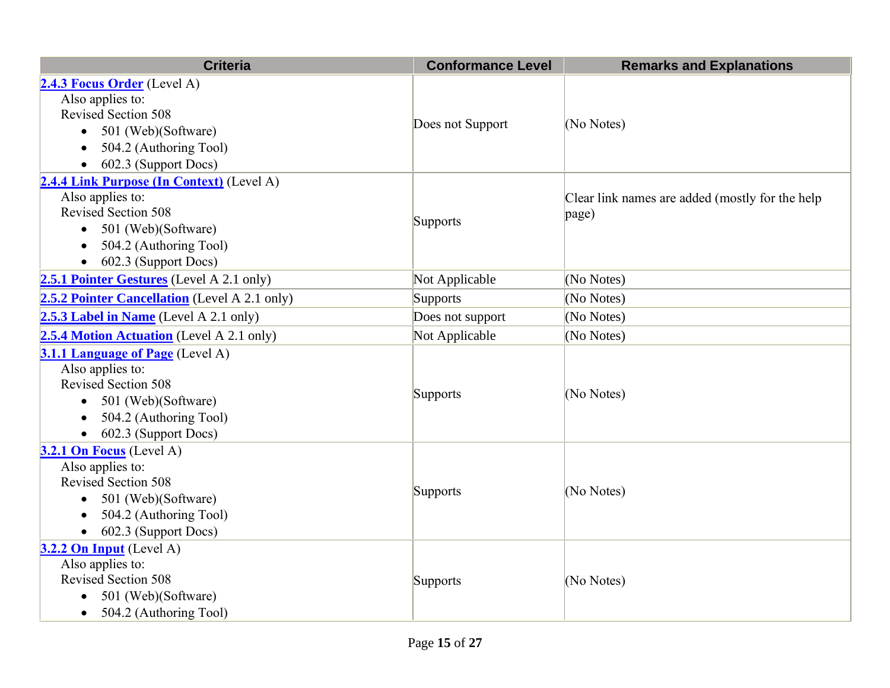| <b>Criteria</b>                                  | <b>Conformance Level</b> | <b>Remarks and Explanations</b>                 |
|--------------------------------------------------|--------------------------|-------------------------------------------------|
| 2.4.3 Focus Order (Level A)                      |                          |                                                 |
| Also applies to:                                 |                          |                                                 |
| <b>Revised Section 508</b>                       | Does not Support         | (No Notes)                                      |
| 501 (Web)(Software)<br>$\bullet$                 |                          |                                                 |
| 504.2 (Authoring Tool)<br>$\bullet$              |                          |                                                 |
| 602.3 (Support Docs)<br>$\bullet$                |                          |                                                 |
| 2.4.4 Link Purpose (In Context) (Level A)        |                          |                                                 |
| Also applies to:                                 |                          | Clear link names are added (mostly for the help |
| Revised Section 508                              | Supports                 | page)                                           |
| 501 (Web)(Software)<br>$\bullet$                 |                          |                                                 |
| 504.2 (Authoring Tool)<br>$\bullet$              |                          |                                                 |
| 602.3 (Support Docs)<br>$\bullet$                |                          |                                                 |
| <b>2.5.1 Pointer Gestures</b> (Level A 2.1 only) | Not Applicable           | (No Notes)                                      |
| 2.5.2 Pointer Cancellation (Level A 2.1 only)    | Supports                 | (No Notes)                                      |
| 2.5.3 Label in Name (Level A 2.1 only)           | Does not support         | (No Notes)                                      |
| 2.5.4 Motion Actuation (Level A 2.1 only)        | Not Applicable           | (No Notes)                                      |
| 3.1.1 Language of Page (Level A)                 |                          |                                                 |
| Also applies to:                                 |                          |                                                 |
| <b>Revised Section 508</b>                       | Supports                 | (No Notes)                                      |
| • 501 (Web)(Software)                            |                          |                                                 |
| 504.2 (Authoring Tool)                           |                          |                                                 |
| 602.3 (Support Docs)                             |                          |                                                 |
| 3.2.1 On Focus (Level A)                         |                          |                                                 |
| Also applies to:                                 |                          |                                                 |
| <b>Revised Section 508</b>                       | Supports                 | (No Notes)                                      |
| 501 (Web)(Software)<br>$\bullet$                 |                          |                                                 |
| 504.2 (Authoring Tool)                           |                          |                                                 |
| 602.3 (Support Docs)<br>$\bullet$                |                          |                                                 |
| $3.2.2$ On Input (Level A)                       |                          |                                                 |
| Also applies to:                                 |                          |                                                 |
| <b>Revised Section 508</b>                       | Supports                 | (No Notes)                                      |
| 501 (Web)(Software)<br>$\bullet$                 |                          |                                                 |
| 504.2 (Authoring Tool)<br>$\bullet$              |                          |                                                 |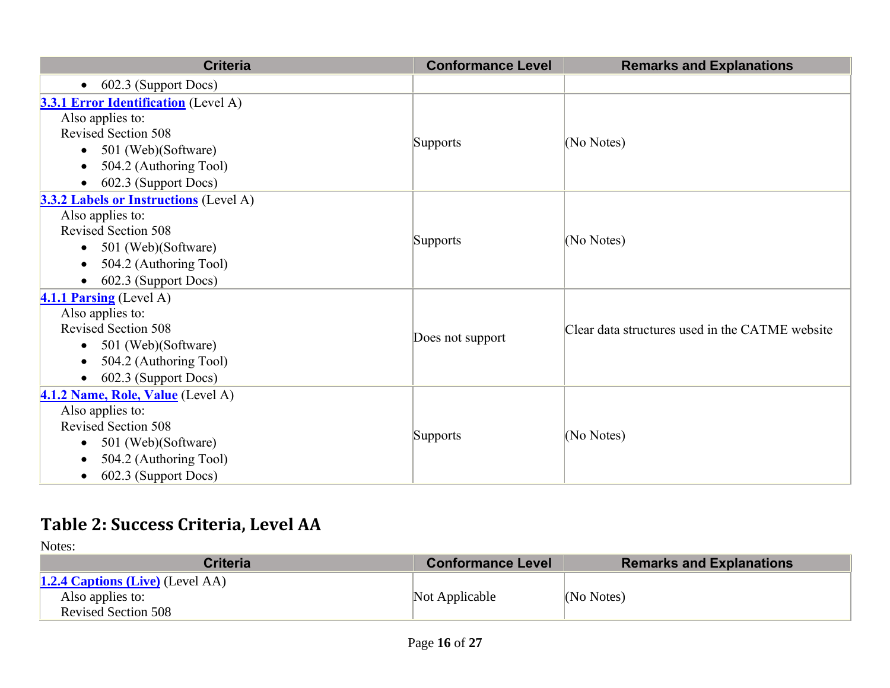| <b>Criteria</b>                               | <b>Conformance Level</b> | <b>Remarks and Explanations</b>                 |
|-----------------------------------------------|--------------------------|-------------------------------------------------|
| 602.3 (Support Docs)<br>$\bullet$             |                          |                                                 |
| <b>3.3.1 Error Identification</b> (Level A)   |                          |                                                 |
| Also applies to:                              |                          |                                                 |
| <b>Revised Section 508</b>                    |                          |                                                 |
| 501 (Web)(Software)<br>$\bullet$              | Supports                 | (No Notes)                                      |
| 504.2 (Authoring Tool)                        |                          |                                                 |
| 602.3 (Support Docs)<br>$\bullet$             |                          |                                                 |
| <b>3.3.2 Labels or Instructions</b> (Level A) |                          |                                                 |
| Also applies to:                              |                          |                                                 |
| Revised Section 508                           | Supports                 | (No Notes)                                      |
| 501 (Web)(Software)<br>$\bullet$              |                          |                                                 |
| 504.2 (Authoring Tool)<br>$\bullet$           |                          |                                                 |
| 602.3 (Support Docs)                          |                          |                                                 |
| $4.1.1$ Parsing (Level A)                     |                          |                                                 |
| Also applies to:                              |                          | Clear data structures used in the CATME website |
| <b>Revised Section 508</b>                    |                          |                                                 |
| 501 (Web)(Software)<br>$\bullet$              | Does not support         |                                                 |
| 504.2 (Authoring Tool)<br>$\bullet$           |                          |                                                 |
| 602.3 (Support Docs)<br>$\bullet$             |                          |                                                 |
| 4.1.2 Name, Role, Value (Level A)             |                          |                                                 |
| Also applies to:                              |                          |                                                 |
| <b>Revised Section 508</b>                    | <b>Supports</b>          | (No Notes)                                      |
| 501 (Web)(Software)<br>$\bullet$              |                          |                                                 |
| 504.2 (Authoring Tool)<br>$\bullet$           |                          |                                                 |
| 602.3 (Support Docs)<br>$\bullet$             |                          |                                                 |

## **Table 2: Success Criteria, Level AA**

| <b>Criteria</b>                                                                           | <b>Conformance Level</b> | <b>Remarks and Explanations</b> |
|-------------------------------------------------------------------------------------------|--------------------------|---------------------------------|
| <b>1.2.4 Captions (Live)</b> (Level AA)<br>Also applies to:<br><b>Revised Section 508</b> | Not Applicable           | (No Notes)                      |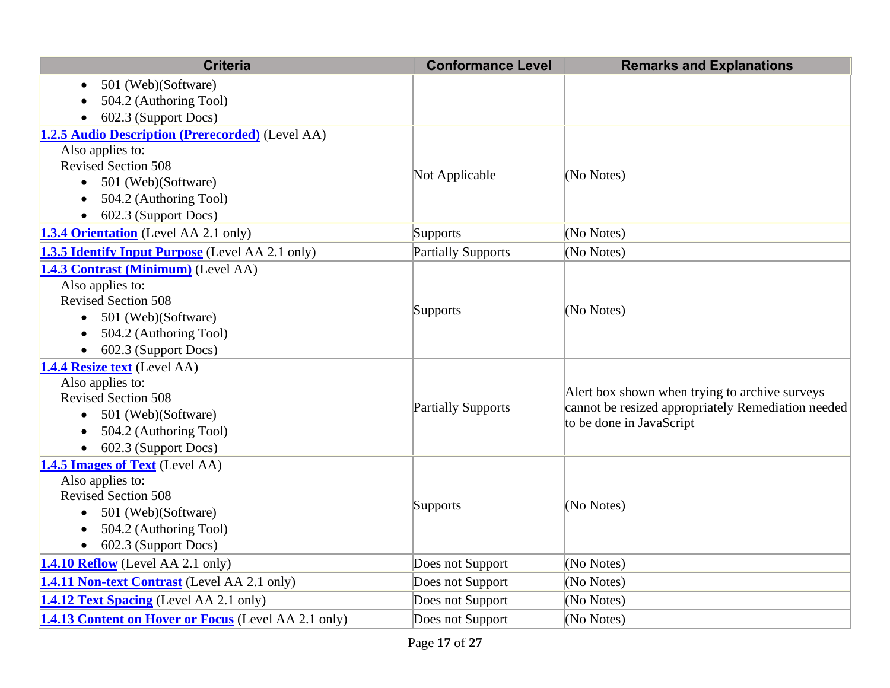| <b>Criteria</b>                                                                                                                                                                                   | <b>Conformance Level</b>  | <b>Remarks and Explanations</b>                                                                                                   |
|---------------------------------------------------------------------------------------------------------------------------------------------------------------------------------------------------|---------------------------|-----------------------------------------------------------------------------------------------------------------------------------|
| 501 (Web)(Software)                                                                                                                                                                               |                           |                                                                                                                                   |
| 504.2 (Authoring Tool)                                                                                                                                                                            |                           |                                                                                                                                   |
| 602.3 (Support Docs)                                                                                                                                                                              |                           |                                                                                                                                   |
| 1.2.5 Audio Description (Prerecorded) (Level AA)                                                                                                                                                  |                           |                                                                                                                                   |
| Also applies to:                                                                                                                                                                                  |                           |                                                                                                                                   |
| <b>Revised Section 508</b>                                                                                                                                                                        | Not Applicable            | (No Notes)                                                                                                                        |
| 501 (Web)(Software)<br>$\bullet$                                                                                                                                                                  |                           |                                                                                                                                   |
| 504.2 (Authoring Tool)                                                                                                                                                                            |                           |                                                                                                                                   |
| 602.3 (Support Docs)                                                                                                                                                                              |                           |                                                                                                                                   |
| 1.3.4 Orientation (Level AA 2.1 only)                                                                                                                                                             | <b>Supports</b>           | (No Notes)                                                                                                                        |
| <b>1.3.5 Identify Input Purpose</b> (Level AA 2.1 only)                                                                                                                                           | <b>Partially Supports</b> | (No Notes)                                                                                                                        |
| 1.4.3 Contrast (Minimum) (Level AA)<br>Also applies to:<br><b>Revised Section 508</b><br>501 (Web)(Software)<br>504.2 (Authoring Tool)<br>602.3 (Support Docs)                                    | Supports                  | (No Notes)                                                                                                                        |
| 1.4.4 Resize text (Level AA)<br>Also applies to:<br><b>Revised Section 508</b><br>$\bullet$ 501 (Web)(Software)<br>504.2 (Authoring Tool)<br>602.3 (Support Docs)                                 | <b>Partially Supports</b> | A lert box shown when trying to archive surveys<br>cannot be resized appropriately Remediation needed<br>to be done in JavaScript |
| 1.4.5 Images of Text (Level AA)<br>Also applies to:<br><b>Revised Section 508</b><br>501 (Web)(Software)<br>$\bullet$<br>504.2 (Authoring Tool)<br>$\bullet$<br>602.3 (Support Docs)<br>$\bullet$ | Supports                  | (No Notes)                                                                                                                        |
| 1.4.10 Reflow (Level AA 2.1 only)                                                                                                                                                                 | Does not Support          | (No Notes)                                                                                                                        |
| 1.4.11 Non-text Contrast (Level AA 2.1 only)                                                                                                                                                      | Does not Support          | (No Notes)                                                                                                                        |
| <b>1.4.12 Text Spacing</b> (Level AA 2.1 only)                                                                                                                                                    | Does not Support          | (No Notes)                                                                                                                        |
| <b>1.4.13 Content on Hover or Focus</b> (Level AA 2.1 only)                                                                                                                                       | Does not Support          | (No Notes)                                                                                                                        |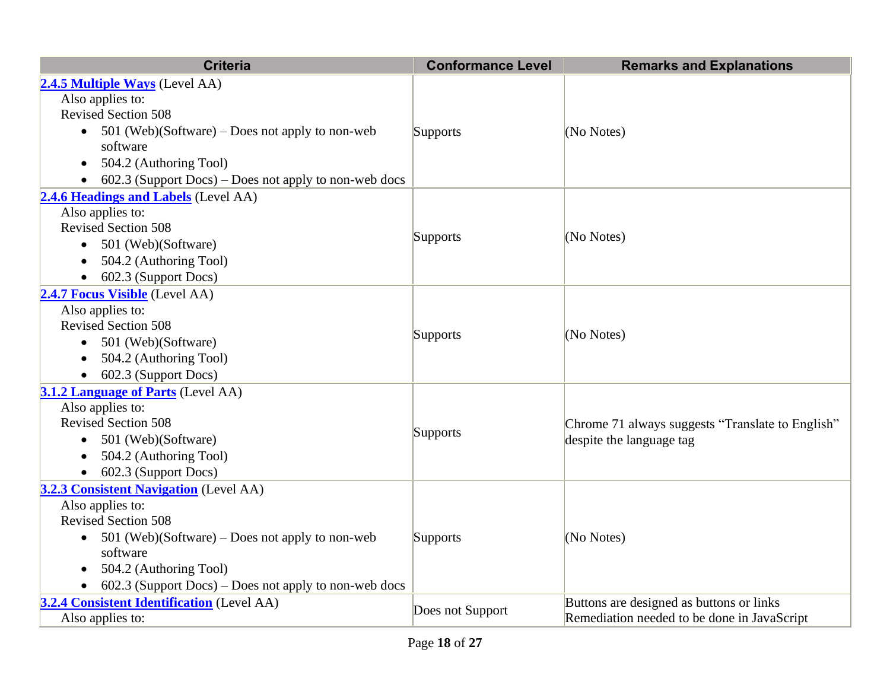| <b>Criteria</b>                                         | <b>Conformance Level</b> | <b>Remarks and Explanations</b>                                              |
|---------------------------------------------------------|--------------------------|------------------------------------------------------------------------------|
| 2.4.5 Multiple Ways (Level AA)                          |                          |                                                                              |
| Also applies to:                                        |                          |                                                                              |
| <b>Revised Section 508</b>                              |                          |                                                                              |
| • $501$ (Web)(Software) – Does not apply to non-web     | <b>Supports</b>          | (No Notes)                                                                   |
| software                                                |                          |                                                                              |
| 504.2 (Authoring Tool)                                  |                          |                                                                              |
| $602.3$ (Support Docs) – Does not apply to non-web docs |                          |                                                                              |
| 2.4.6 Headings and Labels (Level AA)                    |                          |                                                                              |
| Also applies to:                                        |                          |                                                                              |
| <b>Revised Section 508</b>                              | <b>Supports</b>          | (No Notes)                                                                   |
| 501 (Web)(Software)<br>$\bullet$                        |                          |                                                                              |
| 504.2 (Authoring Tool)                                  |                          |                                                                              |
| 602.3 (Support Docs)                                    |                          |                                                                              |
| 2.4.7 Focus Visible (Level AA)                          |                          |                                                                              |
| Also applies to:<br><b>Revised Section 508</b>          |                          | (No Notes)                                                                   |
| 501 (Web)(Software)<br>$\bullet$                        | Supports                 |                                                                              |
| 504.2 (Authoring Tool)                                  |                          |                                                                              |
| 602.3 (Support Docs)                                    |                          |                                                                              |
| <b>3.1.2 Language of Parts</b> (Level AA)               |                          |                                                                              |
| Also applies to:                                        |                          |                                                                              |
| <b>Revised Section 508</b>                              |                          | Chrome 71 always suggests "Translate to English"<br>despite the language tag |
| 501 (Web)(Software)<br>$\bullet$                        | Supports                 |                                                                              |
| 504.2 (Authoring Tool)                                  |                          |                                                                              |
| 602.3 (Support Docs)<br>$\bullet$                       |                          |                                                                              |
| <b>3.2.3 Consistent Navigation</b> (Level AA)           |                          |                                                                              |
| Also applies to:                                        |                          |                                                                              |
| <b>Revised Section 508</b>                              |                          |                                                                              |
| 501 (Web)(Software) – Does not apply to non-web         | <b>Supports</b>          | (No Notes)                                                                   |
| software                                                |                          |                                                                              |
| 504.2 (Authoring Tool)<br>$\bullet$                     |                          |                                                                              |
| $602.3$ (Support Docs) – Does not apply to non-web docs |                          |                                                                              |
| 3.2.4 Consistent Identification (Level AA)              | Does not Support         | Buttons are designed as buttons or links                                     |
| Also applies to:                                        |                          | Remediation needed to be done in JavaScript                                  |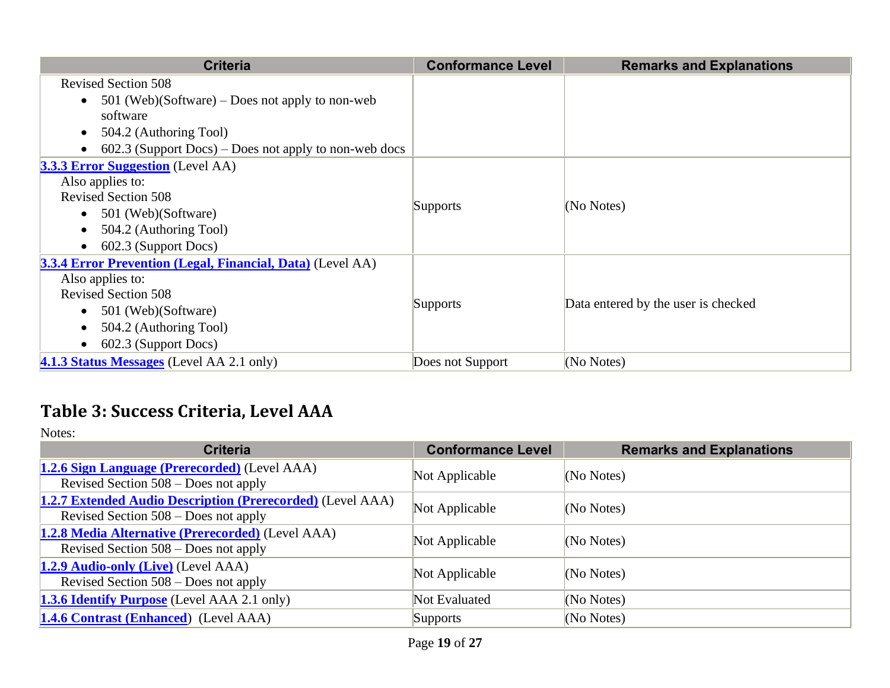| <b>Criteria</b>                                              | <b>Conformance Level</b> | <b>Remarks and Explanations</b>     |
|--------------------------------------------------------------|--------------------------|-------------------------------------|
| <b>Revised Section 508</b>                                   |                          |                                     |
| 501 (Web)(Software) – Does not apply to non-web<br>$\bullet$ |                          |                                     |
| software                                                     |                          |                                     |
| 504.2 (Authoring Tool)                                       |                          |                                     |
| $602.3$ (Support Docs) – Does not apply to non-web docs      |                          |                                     |
| <b>3.3.3 Error Suggestion</b> (Level AA)                     |                          |                                     |
| Also applies to:                                             |                          |                                     |
| <b>Revised Section 508</b>                                   |                          | (No Notes)                          |
| 501 (Web)(Software)<br>$\bullet$                             | <b>Supports</b>          |                                     |
| 504.2 (Authoring Tool)                                       |                          |                                     |
| 602.3 (Support Docs)                                         |                          |                                     |
| 3.3.4 Error Prevention (Legal, Financial, Data) (Level AA)   |                          |                                     |
| Also applies to:                                             |                          |                                     |
| <b>Revised Section 508</b>                                   | Supports                 | Data entered by the user is checked |
| 501 (Web)(Software)<br>$\bullet$                             |                          |                                     |
| 504.2 (Authoring Tool)                                       |                          |                                     |
| 602.3 (Support Docs)                                         |                          |                                     |
| <b>4.1.3 Status Messages</b> (Level AA 2.1 only)             | Does not Support         | (No Notes)                          |

#### **Table 3: Success Criteria, Level AAA**

| <b>Criteria</b>                                                                                             | <b>Conformance Level</b> | <b>Remarks and Explanations</b> |
|-------------------------------------------------------------------------------------------------------------|--------------------------|---------------------------------|
| <b>1.2.6 Sign Language (Prerecorded)</b> (Level AAA)<br>Revised Section $508 - Does not apply$              | Not Applicable           | (No Notes)                      |
| <b>1.2.7 Extended Audio Description (Prerecorded)</b> (Level AAA)<br>Revised Section $508 - Does not apply$ | Not Applicable           | (No Notes)                      |
| 1.2.8 Media Alternative (Prerecorded) (Level AAA)<br>Revised Section $508 - Does not apply$                 | Not Applicable           | (No Notes)                      |
| <b>1.2.9 Audio-only (Live)</b> (Level AAA)<br>Revised Section $508 - Does not apply$                        | Not Applicable           | (No Notes)                      |
| <b>1.3.6 Identify Purpose</b> (Level AAA 2.1 only)                                                          | Not Evaluated            | (No Notes)                      |
| <b>1.4.6 Contrast (Enhanced)</b> (Level AAA)                                                                | <b>Supports</b>          | (No Notes)                      |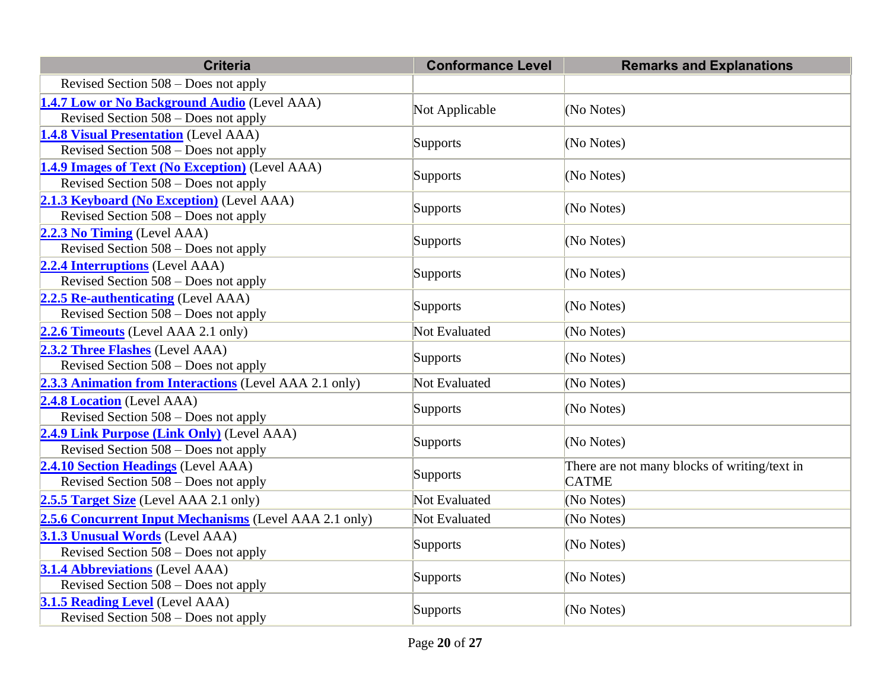| <b>Criteria</b>                                                                           | <b>Conformance Level</b> | <b>Remarks and Explanations</b>                              |
|-------------------------------------------------------------------------------------------|--------------------------|--------------------------------------------------------------|
| Revised Section $508 - Does not apply$                                                    |                          |                                                              |
| 1.4.7 Low or No Background Audio (Level AAA)<br>Revised Section 508 – Does not apply      | Not Applicable           | (No Notes)                                                   |
| <b>1.4.8 Visual Presentation</b> (Level AAA)<br>Revised Section 508 - Does not apply      | Supports                 | (No Notes)                                                   |
| 1.4.9 Images of Text (No Exception) (Level AAA)<br>Revised Section $508 - Does not apply$ | Supports                 | (No Notes)                                                   |
| 2.1.3 Keyboard (No Exception) (Level AAA)<br>Revised Section $508 - Does not apply$       | Supports                 | (No Notes)                                                   |
| 2.2.3 No Timing (Level AAA)<br>Revised Section $508 - Does not apply$                     | Supports                 | (No Notes)                                                   |
| 2.2.4 Interruptions (Level AAA)<br>Revised Section 508 - Does not apply                   | Supports                 | (No Notes)                                                   |
| 2.2.5 Re-authenticating (Level AAA)<br>Revised Section 508 – Does not apply               | Supports                 | (No Notes)                                                   |
| <b>2.2.6 Timeouts</b> (Level AAA 2.1 only)                                                | Not Evaluated            | (No Notes)                                                   |
| 2.3.2 Three Flashes (Level AAA)<br>Revised Section $508 - Does not apply$                 | Supports                 | (No Notes)                                                   |
| 2.3.3 Animation from Interactions (Level AAA 2.1 only)                                    | Not Evaluated            | (No Notes)                                                   |
| 2.4.8 Location (Level AAA)<br>Revised Section $508 - Does not apply$                      | Supports                 | (No Notes)                                                   |
| 2.4.9 Link Purpose (Link Only) (Level AAA)<br>Revised Section 508 – Does not apply        | Supports                 | (No Notes)                                                   |
| 2.4.10 Section Headings (Level AAA)<br>Revised Section $508 - Does not apply$             | Supports                 | There are not many blocks of writing/text in<br><b>CATME</b> |
| 2.5.5 Target Size (Level AAA 2.1 only)                                                    | Not Evaluated            | (No Notes)                                                   |
| 2.5.6 Concurrent Input Mechanisms (Level AAA 2.1 only)                                    | Not Evaluated            | (No Notes)                                                   |
| 3.1.3 Unusual Words (Level AAA)<br>Revised Section $508 - Does not apply$                 | Supports                 | (No Notes)                                                   |
| <b>3.1.4 Abbreviations (Level AAA)</b><br>Revised Section $508 - Does not apply$          | Supports                 | (No Notes)                                                   |
| 3.1.5 Reading Level (Level AAA)<br>Revised Section $508 - Does not apply$                 | Supports                 | (No Notes)                                                   |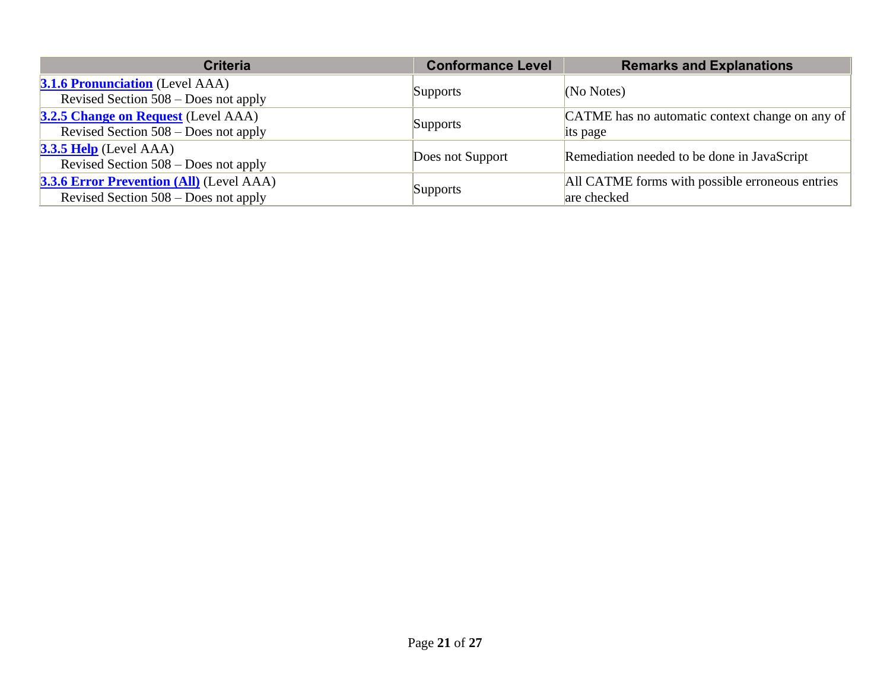| <b>Criteria</b>                                                                           | <b>Conformance Level</b> | <b>Remarks and Explanations</b>                                |
|-------------------------------------------------------------------------------------------|--------------------------|----------------------------------------------------------------|
| <b>3.1.6 Pronunciation</b> (Level AAA)<br>Revised Section 508 – Does not apply            | Supports                 | (No Notes)                                                     |
| <b>3.2.5 Change on Request</b> (Level AAA)<br>Revised Section 508 – Does not apply        | Supports                 | CATME has no automatic context change on any of<br>its page    |
| $3.3.5$ Help (Level AAA)<br>Revised Section 508 – Does not apply                          | Does not Support         | Remediation needed to be done in JavaScript                    |
| <b>3.3.6 Error Prevention (All)</b> (Level AAA)<br>Revised Section $508 - Does not apply$ | Supports                 | All CATME forms with possible erroneous entries<br>are checked |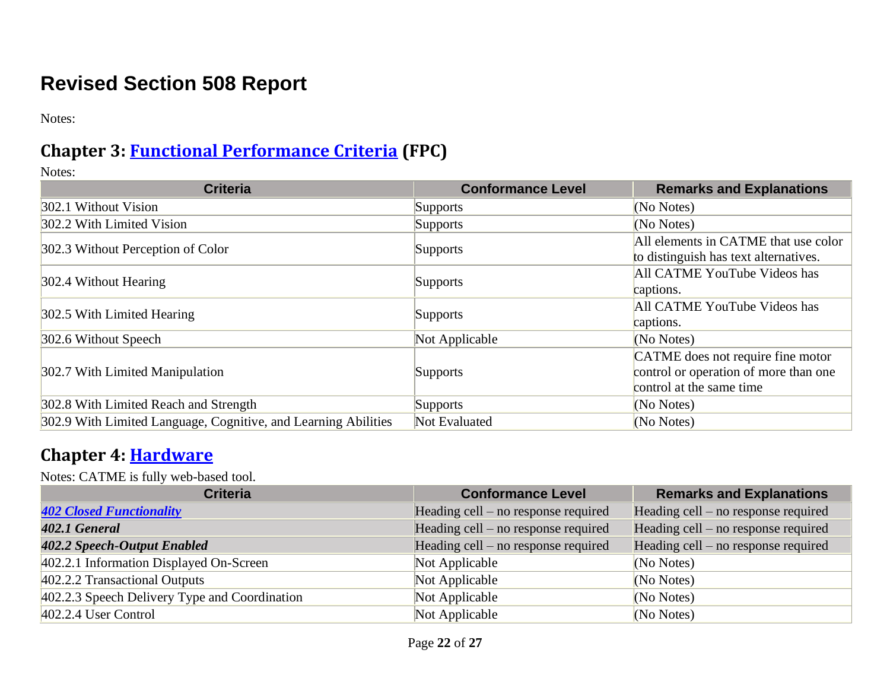## **Revised Section 508 Report**

Notes:

#### **Chapter 3: [Functional Performance Criteria](https://www.access-board.gov/guidelines-and-standards/communications-and-it/about-the-ict-refresh/final-rule/text-of-the-standards-and-guidelines#302-functional-performance-criteria) (FPC)**

Notes:

| <b>Criteria</b>                                                | <b>Conformance Level</b> | <b>Remarks and Explanations</b>       |
|----------------------------------------------------------------|--------------------------|---------------------------------------|
| 302.1 Without Vision                                           | <b>Supports</b>          | (No Notes)                            |
| 302.2 With Limited Vision                                      | <b>Supports</b>          | (No Notes)                            |
| 302.3 Without Perception of Color                              |                          | All elements in CATME that use color  |
|                                                                | Supports                 | to distinguish has text alternatives. |
| 302.4 Without Hearing                                          | Supports                 | All CATME YouTube Videos has          |
|                                                                |                          | captions.                             |
| 302.5 With Limited Hearing                                     | <b>Supports</b>          | All CATME YouTube Videos has          |
|                                                                |                          | captions.                             |
| 302.6 Without Speech                                           | Not Applicable           | (No Notes)                            |
|                                                                |                          | CATME does not require fine motor     |
| 302.7 With Limited Manipulation                                | <b>Supports</b>          | control or operation of more than one |
|                                                                |                          | control at the same time              |
| 302.8 With Limited Reach and Strength                          | <b>Supports</b>          | (No Notes)                            |
| 302.9 With Limited Language, Cognitive, and Learning Abilities | Not Evaluated            | (No Notes)                            |

#### **Chapter 4: [Hardware](https://www.access-board.gov/guidelines-and-standards/communications-and-it/about-the-ict-refresh/final-rule/text-of-the-standards-and-guidelines#401-general)**

Notes: CATME is fully web-based tool.

| <b>Criteria</b>                               | <b>Conformance Level</b>              | <b>Remarks and Explanations</b>     |
|-----------------------------------------------|---------------------------------------|-------------------------------------|
| <b>402 Closed Functionality</b>               | Heading cell $-$ no response required | Heading cell – no response required |
| 402.1 General                                 | Heading cell $-$ no response required | Heading cell – no response required |
| 402.2 Speech-Output Enabled                   | Heading cell – no response required   | Heading cell – no response required |
| 402.2.1 Information Displayed On-Screen       | Not Applicable                        | (No Notes)                          |
| 402.2.2 Transactional Outputs                 | Not Applicable                        | (No Notes)                          |
| 402.2.3 Speech Delivery Type and Coordination | Not Applicable                        | (No Notes)                          |
| $402.2.4$ User Control                        | Not Applicable                        | (No Notes)                          |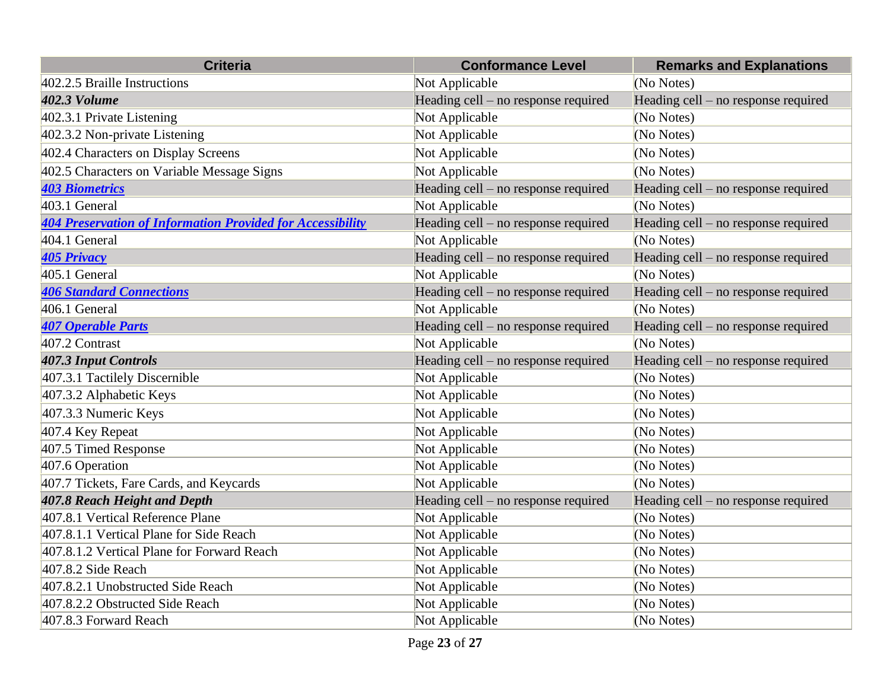| <b>Criteria</b>                                                   | <b>Conformance Level</b>              | <b>Remarks and Explanations</b>     |
|-------------------------------------------------------------------|---------------------------------------|-------------------------------------|
| 402.2.5 Braille Instructions                                      | Not Applicable                        | (No Notes)                          |
| <b>402.3 Volume</b>                                               | Heading cell – no response required   | Heading cell – no response required |
| 402.3.1 Private Listening                                         | Not Applicable                        | (No Notes)                          |
| 402.3.2 Non-private Listening                                     | Not Applicable                        | (No Notes)                          |
| 402.4 Characters on Display Screens                               | Not Applicable                        | (No Notes)                          |
| 402.5 Characters on Variable Message Signs                        | Not Applicable                        | (No Notes)                          |
| <b>403 Biometrics</b>                                             | Heading cell – no response required   | Heading cell – no response required |
| 403.1 General                                                     | Not Applicable                        | (No Notes)                          |
| <b>404 Preservation of Information Provided for Accessibility</b> | Heading cell – no response required   | Heading cell – no response required |
| 404.1 General                                                     | Not Applicable                        | (No Notes)                          |
| <b>405 Privacy</b>                                                | Heading cell – no response required   | Heading cell – no response required |
| 405.1 General                                                     | Not Applicable                        | (No Notes)                          |
| <b>406 Standard Connections</b>                                   | Heading cell – no response required   | Heading cell – no response required |
| 406.1 General                                                     | Not Applicable                        | (No Notes)                          |
| <b>407 Operable Parts</b>                                         | Heading cell - no response required   | Heading cell - no response required |
| 407.2 Contrast                                                    | Not Applicable                        | (No Notes)                          |
| <b>407.3 Input Controls</b>                                       | Heading cell - no response required   | Heading cell – no response required |
| 407.3.1 Tactilely Discernible                                     | Not Applicable                        | (No Notes)                          |
| 407.3.2 Alphabetic Keys                                           | Not Applicable                        | (No Notes)                          |
| 407.3.3 Numeric Keys                                              | Not Applicable                        | (No Notes)                          |
| 407.4 Key Repeat                                                  | Not Applicable                        | (No Notes)                          |
| 407.5 Timed Response                                              | Not Applicable                        | (No Notes)                          |
| 407.6 Operation                                                   | Not Applicable                        | (No Notes)                          |
| 407.7 Tickets, Fare Cards, and Keycards                           | Not Applicable                        | (No Notes)                          |
| 407.8 Reach Height and Depth                                      | Heading cell $-$ no response required | Heading cell – no response required |
| 407.8.1 Vertical Reference Plane                                  | Not Applicable                        | (No Notes)                          |
| 407.8.1.1 Vertical Plane for Side Reach                           | Not Applicable                        | (No Notes)                          |
| 407.8.1.2 Vertical Plane for Forward Reach                        | Not Applicable                        | (No Notes)                          |
| 407.8.2 Side Reach                                                | Not Applicable                        | (No Notes)                          |
| 407.8.2.1 Unobstructed Side Reach                                 | Not Applicable                        | (No Notes)                          |
| 407.8.2.2 Obstructed Side Reach                                   | Not Applicable                        | (No Notes)                          |
| 407.8.3 Forward Reach                                             | Not Applicable                        | (No Notes)                          |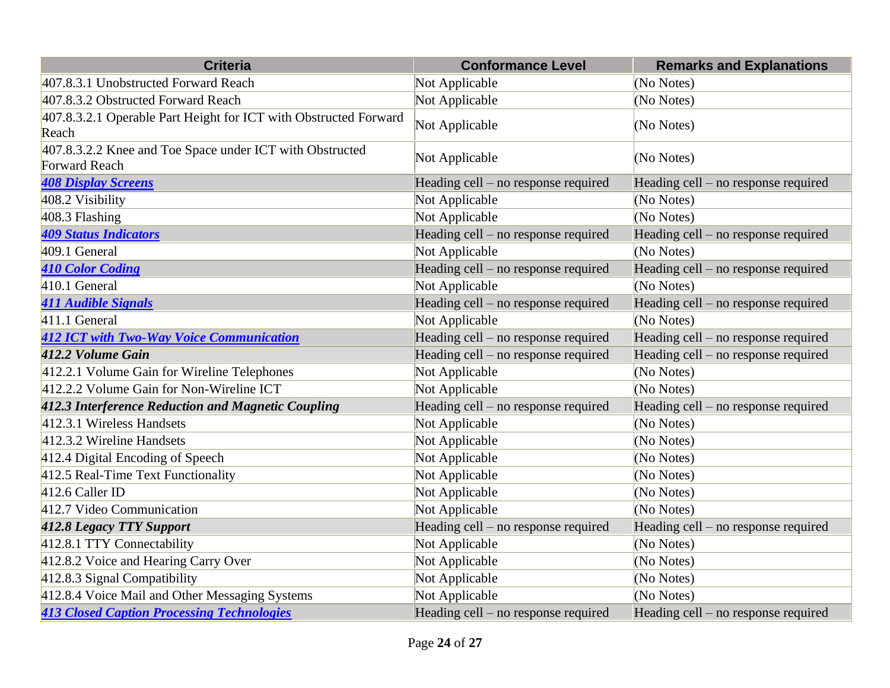| <b>Criteria</b>                                                                  | <b>Conformance Level</b>              | <b>Remarks and Explanations</b>     |
|----------------------------------------------------------------------------------|---------------------------------------|-------------------------------------|
| 407.8.3.1 Unobstructed Forward Reach                                             | Not Applicable                        | (No Notes)                          |
| 407.8.3.2 Obstructed Forward Reach                                               | Not Applicable                        | (No Notes)                          |
| 407.8.3.2.1 Operable Part Height for ICT with Obstructed Forward<br>Reach        | Not Applicable                        | (No Notes)                          |
| 407.8.3.2.2 Knee and Toe Space under ICT with Obstructed<br><b>Forward Reach</b> | Not Applicable                        | (No Notes)                          |
| <b>408 Display Screens</b>                                                       | Heading cell $-$ no response required | Heading cell – no response required |
| 408.2 Visibility                                                                 | Not Applicable                        | (No Notes)                          |
| 408.3 Flashing                                                                   | Not Applicable                        | (No Notes)                          |
| <b>409 Status Indicators</b>                                                     | Heading cell – no response required   | Heading cell – no response required |
| 409.1 General                                                                    | Not Applicable                        | (No Notes)                          |
| <b>410 Color Coding</b>                                                          | Heading cell - no response required   | Heading cell - no response required |
| $410.1$ General                                                                  | Not Applicable                        | (No Notes)                          |
| <b>411 Audible Signals</b>                                                       | Heading cell - no response required   | Heading cell – no response required |
| 411.1 General                                                                    | Not Applicable                        | (No Notes)                          |
| <b>412 ICT with Two-Way Voice Communication</b>                                  | Heading cell - no response required   | Heading cell - no response required |
| 412.2 Volume Gain                                                                | Heading cell $-$ no response required | Heading cell – no response required |
| 412.2.1 Volume Gain for Wireline Telephones                                      | Not Applicable                        | (No Notes)                          |
| 412.2.2 Volume Gain for Non-Wireline ICT                                         | Not Applicable                        | (No Notes)                          |
| 412.3 Interference Reduction and Magnetic Coupling                               | Heading cell - no response required   | Heading cell – no response required |
| 412.3.1 Wireless Handsets                                                        | Not Applicable                        | (No Notes)                          |
| 412.3.2 Wireline Handsets                                                        | Not Applicable                        | (No Notes)                          |
| 412.4 Digital Encoding of Speech                                                 | Not Applicable                        | (No Notes)                          |
| 412.5 Real-Time Text Functionality                                               | Not Applicable                        | (No Notes)                          |
| 412.6 Caller ID                                                                  | Not Applicable                        | (No Notes)                          |
| 412.7 Video Communication                                                        | Not Applicable                        | (No Notes)                          |
| <b>412.8 Legacy TTY Support</b>                                                  | Heading cell - no response required   | Heading cell – no response required |
| 412.8.1 TTY Connectability                                                       | Not Applicable                        | (No Notes)                          |
| 412.8.2 Voice and Hearing Carry Over                                             | Not Applicable                        | (No Notes)                          |
| 412.8.3 Signal Compatibility                                                     | Not Applicable                        | (No Notes)                          |
| 412.8.4 Voice Mail and Other Messaging Systems                                   | Not Applicable                        | (No Notes)                          |
| <b>413 Closed Caption Processing Technologies</b>                                | Heading cell – no response required   | Heading cell – no response required |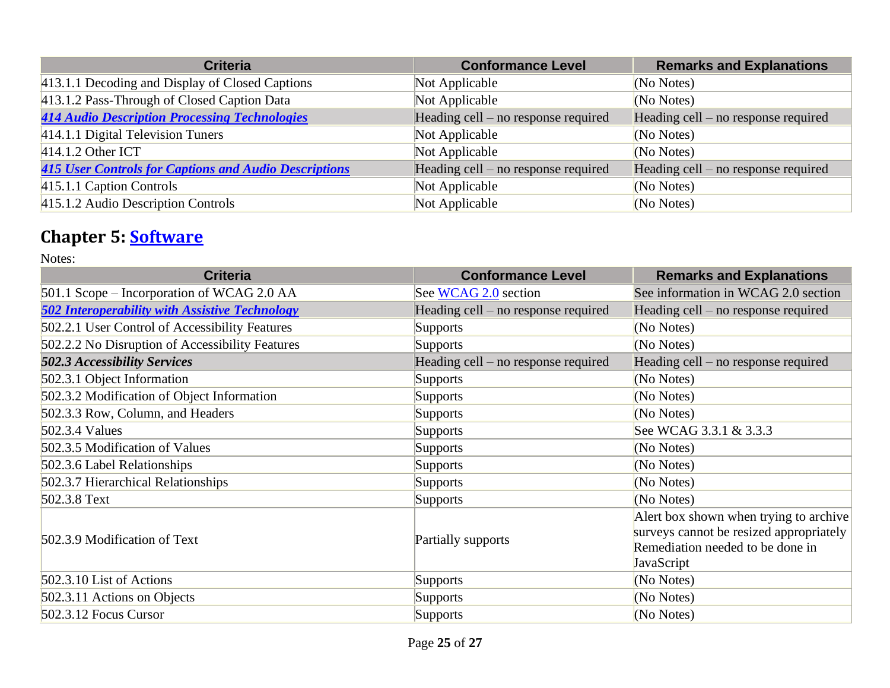| <b>Criteria</b>                                              | <b>Conformance Level</b>              | <b>Remarks and Explanations</b>       |
|--------------------------------------------------------------|---------------------------------------|---------------------------------------|
| 413.1.1 Decoding and Display of Closed Captions              | Not Applicable                        | (No Notes)                            |
| 413.1.2 Pass-Through of Closed Caption Data                  | Not Applicable                        | (No Notes)                            |
| <b>414 Audio Description Processing Technologies</b>         | Heading cell – no response required   | Heading cell – no response required   |
| 414.1.1 Digital Television Tuners                            | Not Applicable                        | (No Notes)                            |
| $414.1.2$ Other ICT                                          | Not Applicable                        | (No Notes)                            |
| <b>415 User Controls for Captions and Audio Descriptions</b> | Heading cell $-$ no response required | Heading cell $-$ no response required |
| 415.1.1 Caption Controls                                     | Not Applicable                        | (No Notes)                            |
| 415.1.2 Audio Description Controls                           | Not Applicable                        | (No Notes)                            |

#### **Chapter 5: [Software](https://www.access-board.gov/guidelines-and-standards/communications-and-it/about-the-ict-refresh/final-rule/text-of-the-standards-and-guidelines#501-general)**

| <b>Criteria</b>                                       | <b>Conformance Level</b>            | <b>Remarks and Explanations</b>                                                                                                     |
|-------------------------------------------------------|-------------------------------------|-------------------------------------------------------------------------------------------------------------------------------------|
| 501.1 Scope – Incorporation of WCAG 2.0 AA            | See WCAG 2.0 section                | See information in WCAG 2.0 section                                                                                                 |
| <b>502 Interoperability with Assistive Technology</b> | Heading cell – no response required | Heading cell – no response required                                                                                                 |
| 502.2.1 User Control of Accessibility Features        | <b>Supports</b>                     | (No Notes)                                                                                                                          |
| 502.2.2 No Disruption of Accessibility Features       | <b>Supports</b>                     | (No Notes)                                                                                                                          |
| <b>502.3 Accessibility Services</b>                   | Heading cell – no response required | Heading cell – no response required                                                                                                 |
| 502.3.1 Object Information                            | <b>Supports</b>                     | (No Notes)                                                                                                                          |
| 502.3.2 Modification of Object Information            | <b>Supports</b>                     | (No Notes)                                                                                                                          |
| 502.3.3 Row, Column, and Headers                      | <b>Supports</b>                     | (No Notes)                                                                                                                          |
| $502.3.4$ Values                                      | <b>Supports</b>                     | See WCAG 3.3.1 & 3.3.3                                                                                                              |
| 502.3.5 Modification of Values                        | <b>Supports</b>                     | (No Notes)                                                                                                                          |
| 502.3.6 Label Relationships                           | <b>Supports</b>                     | (No Notes)                                                                                                                          |
| 502.3.7 Hierarchical Relationships                    | <b>Supports</b>                     | (No Notes)                                                                                                                          |
| 502.3.8 Text                                          | <b>Supports</b>                     | (No Notes)                                                                                                                          |
| 502.3.9 Modification of Text                          | Partially supports                  | Alert box shown when trying to archive<br>surveys cannot be resized appropriately<br>Remediation needed to be done in<br>JavaScript |
| 502.3.10 List of Actions                              | <b>Supports</b>                     | (No Notes)                                                                                                                          |
| 502.3.11 Actions on Objects                           | <b>Supports</b>                     | (No Notes)                                                                                                                          |
| 502.3.12 Focus Cursor                                 | <b>Supports</b>                     | (No Notes)                                                                                                                          |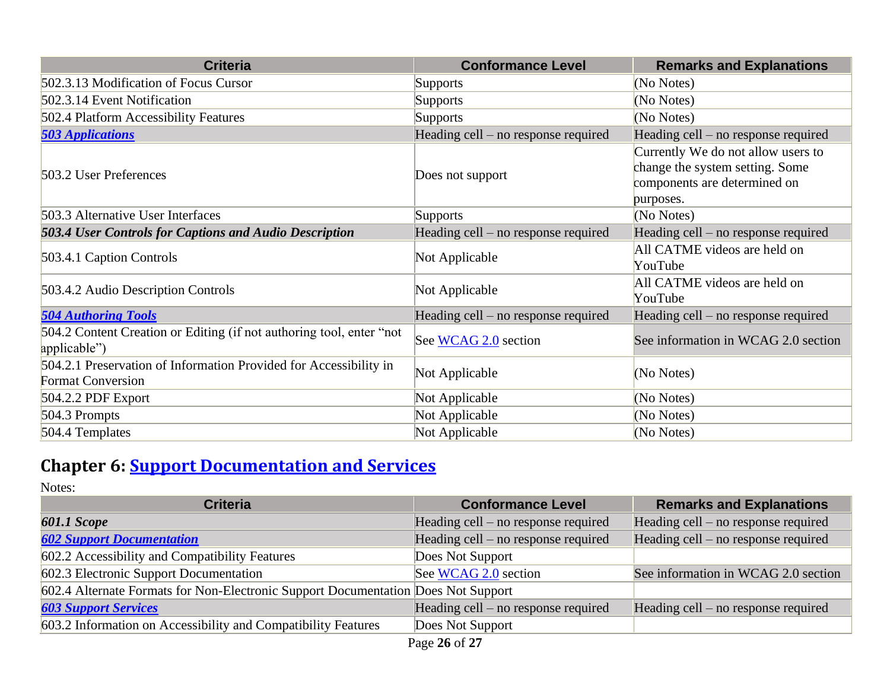| <b>Criteria</b>                                                                               | <b>Conformance Level</b>              | <b>Remarks and Explanations</b>                                                                                    |
|-----------------------------------------------------------------------------------------------|---------------------------------------|--------------------------------------------------------------------------------------------------------------------|
| 502.3.13 Modification of Focus Cursor                                                         | Supports                              | (No Notes)                                                                                                         |
| 502.3.14 Event Notification                                                                   | <b>Supports</b>                       | (No Notes)                                                                                                         |
| 502.4 Platform Accessibility Features                                                         | <b>Supports</b>                       | (No Notes)                                                                                                         |
| <b>503 Applications</b>                                                                       | Heading cell – no response required   | Heading cell – no response required                                                                                |
| 503.2 User Preferences                                                                        | Does not support                      | Currently We do not allow users to<br>change the system setting. Some<br>components are determined on<br>purposes. |
| 503.3 Alternative User Interfaces                                                             | <b>Supports</b>                       | (No Notes)                                                                                                         |
| 503.4 User Controls for Captions and Audio Description                                        | Heading cell – no response required   | Heading cell – no response required                                                                                |
| 503.4.1 Caption Controls                                                                      | Not Applicable                        | All CATME videos are held on<br>YouTube                                                                            |
| 503.4.2 Audio Description Controls                                                            | Not Applicable                        | All CATME videos are held on<br>YouTube                                                                            |
| <b>504 Authoring Tools</b>                                                                    | Heading cell $-$ no response required | Heading cell – no response required                                                                                |
| 504.2 Content Creation or Editing (if not authoring tool, enter "not<br>applicable")          | See WCAG 2.0 section                  | See information in WCAG 2.0 section                                                                                |
| 504.2.1 Preservation of Information Provided for Accessibility in<br><b>Format Conversion</b> | Not Applicable                        | (No Notes)                                                                                                         |
| $504.2.2$ PDF Export                                                                          | Not Applicable                        | (No Notes)                                                                                                         |
| 504.3 Prompts                                                                                 | Not Applicable                        | (No Notes)                                                                                                         |
| 504.4 Templates                                                                               | Not Applicable                        | (No Notes)                                                                                                         |

## **Chapter 6: [Support Documentation and Services](https://www.access-board.gov/guidelines-and-standards/communications-and-it/about-the-ict-refresh/final-rule/text-of-the-standards-and-guidelines#601-general)**

| <b>Criteria</b>                                                                   | <b>Conformance Level</b>              | <b>Remarks and Explanations</b>       |
|-----------------------------------------------------------------------------------|---------------------------------------|---------------------------------------|
| <b>601.1 Scope</b>                                                                | Heading cell $-$ no response required | Heading cell $-$ no response required |
| <b>602 Support Documentation</b>                                                  | Heading cell – no response required   | Heading cell – no response required   |
| 602.2 Accessibility and Compatibility Features                                    | Does Not Support                      |                                       |
| 602.3 Electronic Support Documentation                                            | See WCAG 2.0 section                  | See information in WCAG 2.0 section   |
| 602.4 Alternate Formats for Non-Electronic Support Documentation Does Not Support |                                       |                                       |
| <b>603 Support Services</b>                                                       | Heading cell $-$ no response required | Heading cell $-$ no response required |
| 603.2 Information on Accessibility and Compatibility Features                     | Does Not Support                      |                                       |